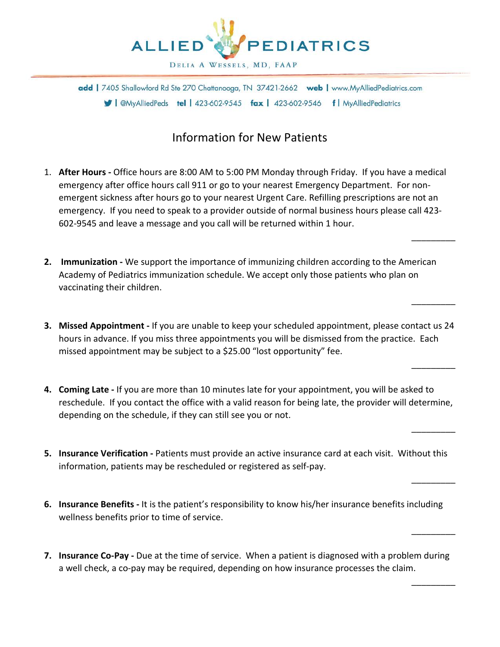

# Information for New Patients

1. **After Hours -** Office hours are 8:00 AM to 5:00 PM Monday through Friday. If you have a medical emergency after office hours call 911 or go to your nearest Emergency Department. For nonemergent sickness after hours go to your nearest Urgent Care. Refilling prescriptions are not an emergency. If you need to speak to a provider outside of normal business hours please call 423- 602-9545 and leave a message and you call will be returned within 1 hour.

 $\overline{\phantom{a}}$ 

 $\overline{\phantom{a}}$ 

 $\overline{\phantom{a}}$ 

 $\overline{\phantom{a}}$ 

 $\overline{\phantom{a}}$ 

 $\overline{\phantom{a}}$ 

 $\overline{\phantom{a}}$ 

- **2. Immunization -** We support the importance of immunizing children according to the American Academy of Pediatrics immunization schedule. We accept only those patients who plan on vaccinating their children.
- **3. Missed Appointment -** If you are unable to keep your scheduled appointment, please contact us 24 hours in advance. If you miss three appointments you will be dismissed from the practice. Each missed appointment may be subject to a \$25.00 "lost opportunity" fee.
- **4. Coming Late -** If you are more than 10 minutes late for your appointment, you will be asked to reschedule. If you contact the office with a valid reason for being late, the provider will determine, depending on the schedule, if they can still see you or not.
- **5. Insurance Verification -** Patients must provide an active insurance card at each visit. Without this information, patients may be rescheduled or registered as self-pay.
- **6. Insurance Benefits -** It is the patient's responsibility to know his/her insurance benefits including wellness benefits prior to time of service.
- **7. Insurance Co-Pay -** Due at the time of service. When a patient is diagnosed with a problem during a well check, a co-pay may be required, depending on how insurance processes the claim.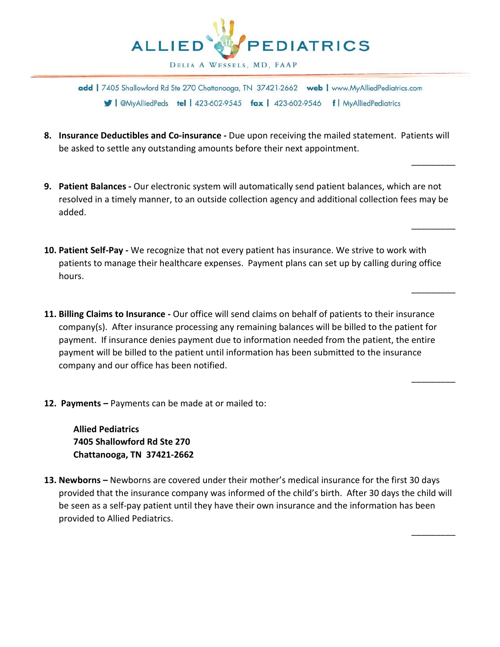

**8. Insurance Deductibles and Co-insurance -** Due upon receiving the mailed statement. Patients will be asked to settle any outstanding amounts before their next appointment.

 $\overline{\phantom{a}}$ 

 $\overline{\phantom{a}}$ 

 $\overline{\phantom{a}}$ 

\_\_\_\_\_\_\_\_\_

\_\_\_\_\_\_\_\_\_

- **9. Patient Balances -** Our electronic system will automatically send patient balances, which are not resolved in a timely manner, to an outside collection agency and additional collection fees may be added.
- **10. Patient Self-Pay -** We recognize that not every patient has insurance. We strive to work with patients to manage their healthcare expenses. Payment plans can set up by calling during office hours.
- **11. Billing Claims to Insurance -** Our office will send claims on behalf of patients to their insurance company(s). After insurance processing any remaining balances will be billed to the patient for payment. If insurance denies payment due to information needed from the patient, the entire payment will be billed to the patient until information has been submitted to the insurance company and our office has been notified.
- **12. Payments –** Payments can be made at or mailed to:

**Allied Pediatrics 7405 Shallowford Rd Ste 270 Chattanooga, TN 37421-2662**

**13. Newborns –** Newborns are covered under their mother's medical insurance for the first 30 days provided that the insurance company was informed of the child's birth. After 30 days the child will be seen as a self-pay patient until they have their own insurance and the information has been provided to Allied Pediatrics.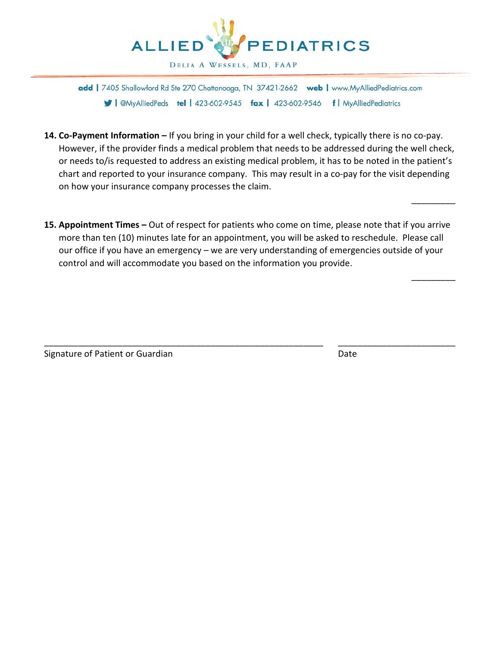

- **14. Co-Payment Information –** If you bring in your child for a well check, typically there is no co-pay. However, if the provider finds a medical problem that needs to be addressed during the well check, or needs to/is requested to address an existing medical problem, it has to be noted in the patient's chart and reported to your insurance company. This may result in a co-pay for the visit depending on how your insurance company processes the claim.
- **15. Appointment Times –** Out of respect for patients who come on time, please note that if you arrive more than ten (10) minutes late for an appointment, you will be asked to reschedule. Please call our office if you have an emergency – we are very understanding of emergencies outside of your control and will accommodate you based on the information you provide.

\_\_\_\_\_\_\_\_\_\_\_\_\_\_\_\_\_\_\_\_\_\_\_\_\_\_\_\_\_\_\_\_\_\_\_\_\_\_\_\_\_\_\_\_\_\_\_\_\_\_\_\_\_\_\_\_\_ \_\_\_\_\_\_\_\_\_\_\_\_\_\_\_\_\_\_\_\_\_\_\_\_

Signature of Patient or Guardian Date Controller and Date Date

 $\overline{\phantom{a}}$ 

 $\overline{\phantom{a}}$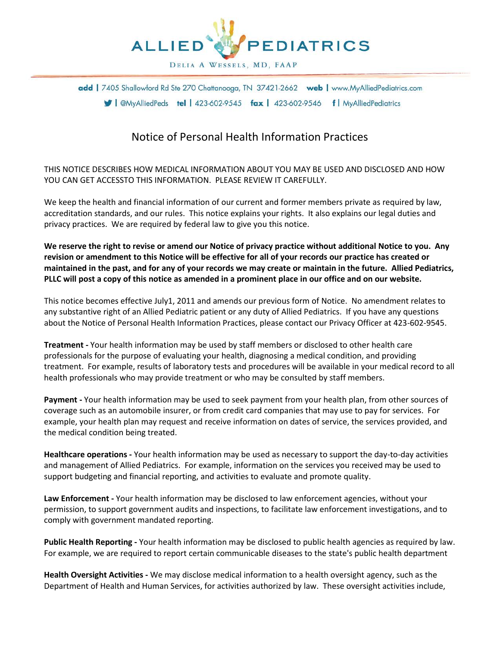

## Notice of Personal Health Information Practices

THIS NOTICE DESCRIBES HOW MEDICAL INFORMATION ABOUT YOU MAY BE USED AND DISCLOSED AND HOW YOU CAN GET ACCESSTO THIS INFORMATION. PLEASE REVIEW IT CAREFULLY.

We keep the health and financial information of our current and former members private as required by law, accreditation standards, and our rules. This notice explains your rights. It also explains our legal duties and privacy practices. We are required by federal law to give you this notice.

**We reserve the right to revise or amend our Notice of privacy practice without additional Notice to you. Any revision or amendment to this Notice will be effective for all of your records our practice has created or maintained in the past, and for any of your records we may create or maintain in the future. Allied Pediatrics, PLLC will post a copy of this notice as amended in a prominent place in our office and on our website.**

This notice becomes effective July1, 2011 and amends our previous form of Notice. No amendment relates to any substantive right of an Allied Pediatric patient or any duty of Allied Pediatrics. If you have any questions about the Notice of Personal Health Information Practices, please contact our Privacy Officer at 423-602-9545.

**Treatment -** Your health information may be used by staff members or disclosed to other health care professionals for the purpose of evaluating your health, diagnosing a medical condition, and providing treatment. For example, results of laboratory tests and procedures will be available in your medical record to all health professionals who may provide treatment or who may be consulted by staff members.

**Payment -** Your health information may be used to seek payment from your health plan, from other sources of coverage such as an automobile insurer, or from credit card companies that may use to pay for services. For example, your health plan may request and receive information on dates of service, the services provided, and the medical condition being treated.

**Healthcare operations -** Your health information may be used as necessary to support the day-to-day activities and management of Allied Pediatrics. For example, information on the services you received may be used to support budgeting and financial reporting, and activities to evaluate and promote quality.

**Law Enforcement -** Your health information may be disclosed to law enforcement agencies, without your permission, to support government audits and inspections, to facilitate law enforcement investigations, and to comply with government mandated reporting.

**Public Health Reporting -** Your health information may be disclosed to public health agencies as required by law. For example, we are required to report certain communicable diseases to the state's public health department

**Health Oversight Activities -** We may disclose medical information to a health oversight agency, such as the Department of Health and Human Services, for activities authorized by law. These oversight activities include,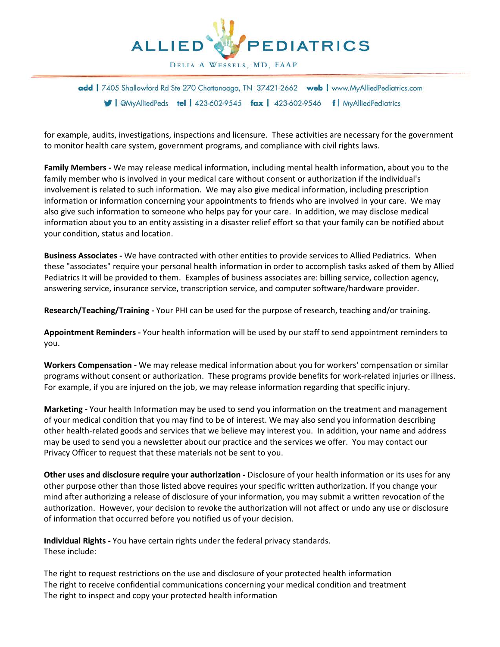

for example, audits, investigations, inspections and licensure. These activities are necessary for the government to monitor health care system, government programs, and compliance with civil rights laws.

**Family Members -** We may release medical information, including mental health information, about you to the family member who is involved in your medical care without consent or authorization if the individual's involvement is related to such information. We may also give medical information, including prescription information or information concerning your appointments to friends who are involved in your care. We may also give such information to someone who helps pay for your care. In addition, we may disclose medical information about you to an entity assisting in a disaster relief effort so that your family can be notified about your condition, status and location.

**Business Associates -** We have contracted with other entities to provide services to Allied Pediatrics. When these "associates" require your personal health information in order to accomplish tasks asked of them by Allied Pediatrics It will be provided to them. Examples of business associates are: billing service, collection agency, answering service, insurance service, transcription service, and computer software/hardware provider.

**Research/Teaching/Training -** Your PHI can be used for the purpose of research, teaching and/or training.

**Appointment Reminders -** Your health information will be used by our staff to send appointment reminders to you.

**Workers Compensation -** We may release medical information about you for workers' compensation or similar programs without consent or authorization. These programs provide benefits for work-related injuries or illness. For example, if you are injured on the job, we may release information regarding that specific injury.

**Marketing -** Your health Information may be used to send you information on the treatment and management of your medical condition that you may find to be of interest. We may also send you information describing other health-related goods and services that we believe may interest you. In addition, your name and address may be used to send you a newsletter about our practice and the services we offer. You may contact our Privacy Officer to request that these materials not be sent to you.

**Other uses and disclosure require your authorization -** Disclosure of your health information or its uses for any other purpose other than those listed above requires your specific written authorization. If you change your mind after authorizing a release of disclosure of your information, you may submit a written revocation of the authorization. However, your decision to revoke the authorization will not affect or undo any use or disclosure of information that occurred before you notified us of your decision.

**Individual Rights -** You have certain rights under the federal privacy standards. These include:

The right to request restrictions on the use and disclosure of your protected health information The right to receive confidential communications concerning your medical condition and treatment The right to inspect and copy your protected health information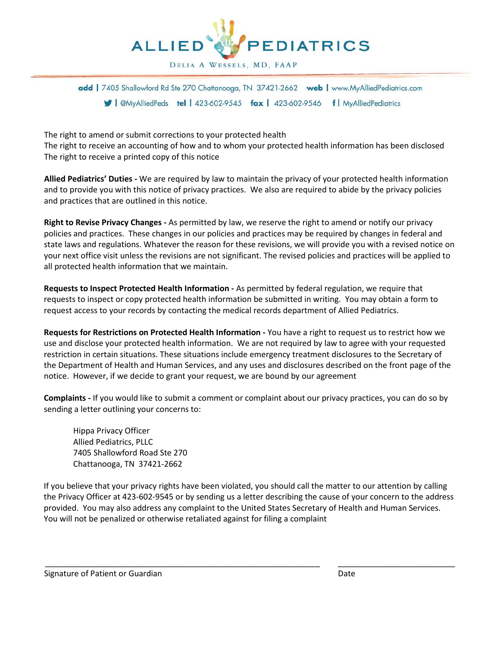

The right to amend or submit corrections to your protected health The right to receive an accounting of how and to whom your protected health information has been disclosed The right to receive a printed copy of this notice

**Allied Pediatrics' Duties -** We are required by law to maintain the privacy of your protected health information and to provide you with this notice of privacy practices. We also are required to abide by the privacy policies and practices that are outlined in this notice.

**Right to Revise Privacy Changes -** As permitted by law, we reserve the right to amend or notify our privacy policies and practices. These changes in our policies and practices may be required by changes in federal and state laws and regulations. Whatever the reason for these revisions, we will provide you with a revised notice on your next office visit unless the revisions are not significant. The revised policies and practices will be applied to all protected health information that we maintain.

**Requests to Inspect Protected Health Information -** As permitted by federal regulation, we require that requests to inspect or copy protected health information be submitted in writing. You may obtain a form to request access to your records by contacting the medical records department of Allied Pediatrics.

**Requests for Restrictions on Protected Health Information -** You have a right to request us to restrict how we use and disclose your protected health information. We are not required by law to agree with your requested restriction in certain situations. These situations include emergency treatment disclosures to the Secretary of the Department of Health and Human Services, and any uses and disclosures described on the front page of the notice. However, if we decide to grant your request, we are bound by our agreement

**Complaints -** If you would like to submit a comment or complaint about our privacy practices, you can do so by sending a letter outlining your concerns to:

Hippa Privacy Officer Allied Pediatrics, PLLC 7405 Shallowford Road Ste 270 Chattanooga, TN 37421-2662

If you believe that your privacy rights have been violated, you should call the matter to our attention by calling the Privacy Officer at 423-602-9545 or by sending us a letter describing the cause of your concern to the address provided. You may also address any complaint to the United States Secretary of Health and Human Services. You will not be penalized or otherwise retaliated against for filing a complaint

\_\_\_\_\_\_\_\_\_\_\_\_\_\_\_\_\_\_\_\_\_\_\_\_\_\_\_\_\_\_\_\_\_\_\_\_\_\_\_\_\_\_\_\_\_\_\_\_\_\_\_\_\_\_\_\_\_\_\_\_\_ \_\_\_\_\_\_\_\_\_\_\_\_\_\_\_\_\_\_\_\_\_\_\_\_\_\_